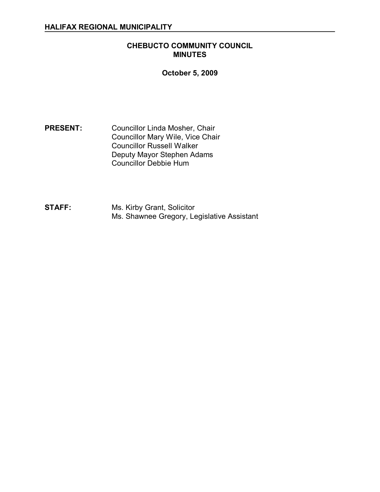### **CHEBUCTO COMMUNITY COUNCIL MINUTES**

## **October 5, 2009**

**PRESENT:** Councillor Linda Mosher, Chair Councillor Mary Wile, Vice Chair Councillor Russell Walker Deputy Mayor Stephen Adams Councillor Debbie Hum

**STAFF:** Ms. Kirby Grant, Solicitor Ms. Shawnee Gregory, Legislative Assistant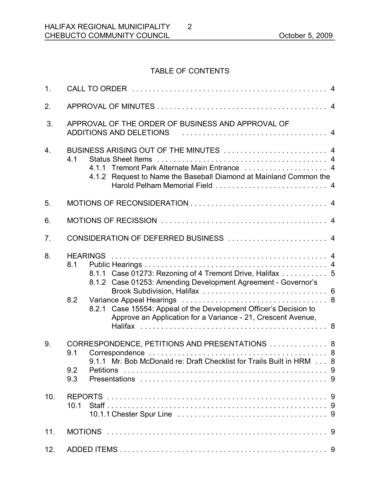# TABLE OF CONTENTS

2

| 1 <sub>1</sub>   |                                                                                                                                                                     |
|------------------|---------------------------------------------------------------------------------------------------------------------------------------------------------------------|
| 2.               |                                                                                                                                                                     |
| 3.               | APPROVAL OF THE ORDER OF BUSINESS AND APPROVAL OF<br>ADDITIONS AND DELETIONS                                                                                        |
| $\overline{4}$ . | BUSINESS ARISING OUT OF THE MINUTES  4<br>4.1<br>4.1.1 Tremont Park Alternate Main Entrance  4<br>4.1.2 Request to Name the Baseball Diamond at Mainland Common the |
| 5.               |                                                                                                                                                                     |
| 6.               |                                                                                                                                                                     |
| 7.               |                                                                                                                                                                     |
| 8.               | 8.1<br>8.1.1 Case 01273: Rezoning of 4 Tremont Drive, Halifax  5<br>8.1.2 Case 01253: Amending Development Agreement - Governor's<br>8.2                            |
|                  | 8.2.1 Case 15554: Appeal of the Development Officer's Decision to<br>Approve an Application for a Variance - 21, Crescent Avenue,                                   |
| 9.               | CORRESPONDENCE, PETITIONS AND PRESENTATIONS  8<br>9.1<br>9.1.1 Mr. Bob McDonald re: Draft Checklist for Trails Built in HRM 8<br>9.2<br><b>Petitions</b><br>9.3     |
| 10.              | <b>REPORTS</b><br>10.1                                                                                                                                              |
| 11.              |                                                                                                                                                                     |
| 12.              |                                                                                                                                                                     |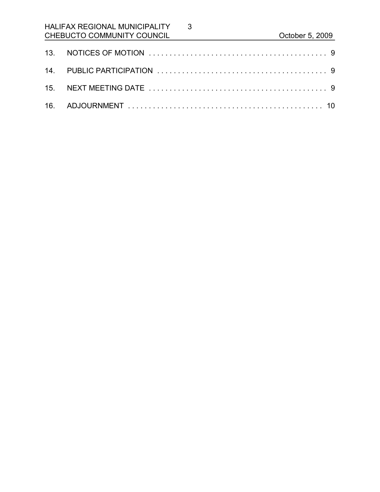# HALIFAX REGIONAL MUNICIPALITY CHEBUCTO COMMUNITY COUNCIL CHEBUCTO COMMUNITY COUNCIL

3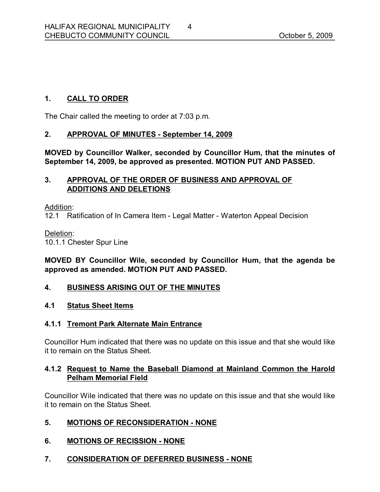## **1. CALL TO ORDER**

The Chair called the meeting to order at 7:03 p.m.

### **2. APPROVAL OF MINUTES September 14, 2009**

**MOVED by Councillor Walker, seconded by Councillor Hum, that the minutes of September 14, 2009, be approved as presented. MOTION PUT AND PASSED.** 

### **3. APPROVAL OF THE ORDER OF BUSINESS AND APPROVAL OF ADDITIONS AND DELETIONS**

Addition:

12.1 Ratification of In Camera Item - Legal Matter - Waterton Appeal Decision

Deletion:

10.1.1 Chester Spur Line

## **MOVED BY Councillor Wile, seconded by Councillor Hum, that the agenda be approved as amended. MOTION PUT AND PASSED.**

### **4. BUSINESS ARISING OUT OF THE MINUTES**

### **4.1 Status Sheet Items**

### **4.1.1 Tremont Park Alternate Main Entrance**

Councillor Hum indicated that there was no update on this issue and that she would like it to remain on the Status Sheet.

### **4.1.2 Request to Name the Baseball Diamond at Mainland Common the Harold Pelham Memorial Field**

Councillor Wile indicated that there was no update on this issue and that she would like it to remain on the Status Sheet.

## **5. MOTIONS OF RECONSIDERATION NONE**

## **6. MOTIONS OF RECISSION NONE**

### **7. CONSIDERATION OF DEFERRED BUSINESS NONE**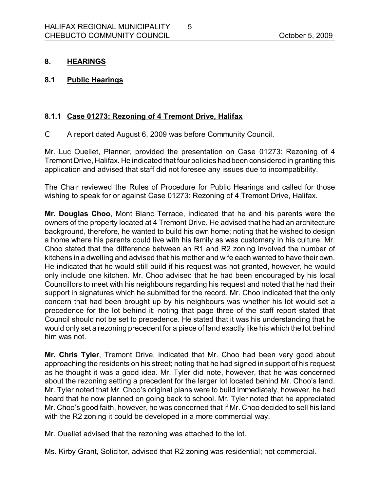### **8. HEARINGS**

**8.1 Public Hearings** 

## **8.1.1 Case 01273: Rezoning of 4 Tremont Drive, Halifax**

C A report dated August 6, 2009 was before Community Council.

Mr. Luc Ouellet, Planner, provided the presentation on Case 01273: Rezoning of 4 Tremont Drive, Halifax. He indicated that four policies had been considered in granting this application and advised that staff did not foresee any issues due to incompatibility.

5

The Chair reviewed the Rules of Procedure for Public Hearings and called for those wishing to speak for or against Case 01273: Rezoning of 4 Tremont Drive, Halifax.

**Mr. Douglas Choo, Mont Blanc Terrace, indicated that he and his parents were the** owners of the property located at 4 Tremont Drive. He advised that he had an architecture background, therefore, he wanted to build his own home; noting that he wished to design a home where his parents could live with his family as was customary in his culture. Mr. Choo stated that the difference between an R1 and R2 zoning involved the number of kitchens in a dwelling and advised that his mother and wife each wanted to have their own. He indicated that he would still build if his request was not granted, however, he would only include one kitchen. Mr. Choo advised that he had been encouraged by his local Councillors to meet with his neighbours regarding his request and noted that he had their support in signatures which he submitted for the record. Mr. Choo indicated that the only concern that had been brought up by his neighbours was whether his lot would set a precedence for the lot behind it; noting that page three of the staff report stated that Council should not be set to precedence. He stated that it was his understanding that he would only set a rezoning precedent for a piece of land exactly like his which the lot behind him was not.

**Mr. Chris Tyler**, Tremont Drive, indicated that Mr. Choo had been very good about approaching the residents on his street; noting that he had signed in support of his request as he thought it was a good idea. Mr. Tyler did note, however, that he was concerned about the rezoning setting a precedent for the larger lot located behind Mr. Choo's land. Mr. Tyler noted that Mr. Choo's original plans were to build immediately, however, he had heard that he now planned on going back to school. Mr. Tyler noted that he appreciated Mr. Choo's good faith, however, he was concerned that if Mr. Choo decided to sell his land with the R2 zoning it could be developed in a more commercial way.

Mr. Ouellet advised that the rezoning was attached to the lot.

Ms. Kirby Grant, Solicitor, advised that R2 zoning was residential; not commercial.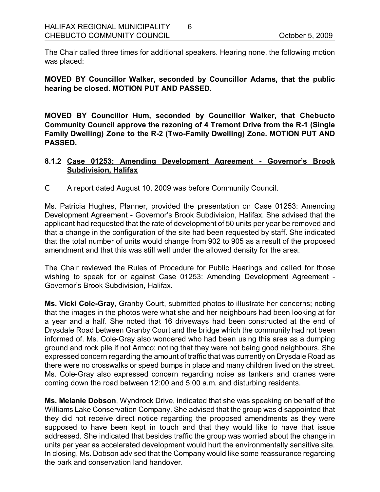The Chair called three times for additional speakers. Hearing none, the following motion was placed:

6

**MOVED BY Councillor Walker, seconded by Councillor Adams, that the public hearing be closed. MOTION PUT AND PASSED.** 

**MOVED BY Councillor Hum, seconded by Councillor Walker, that Chebucto Community Council approve the rezoning of 4 Tremont Drive from the R1 (Single Family Dwelling) Zone to the R2 (TwoFamily Dwelling) Zone. MOTION PUT AND PASSED.** 

## **8.1.2 Case 01253: Amending Development Agreement Governor's Brook Subdivision, Halifax**

C A report dated August 10, 2009 was before Community Council.

Ms. Patricia Hughes, Planner, provided the presentation on Case 01253: Amending Development Agreement - Governor's Brook Subdivision, Halifax. She advised that the applicant had requested that the rate of development of 50 units per year be removed and that a change in the configuration of the site had been requested by staff. She indicated that the total number of units would change from 902 to 905 as a result of the proposed amendment and that this was still well under the allowed density for the area.

The Chair reviewed the Rules of Procedure for Public Hearings and called for those wishing to speak for or against Case 01253: Amending Development Agreement -Governor's Brook Subdivision, Halifax.

**Ms. Vicki Cole-Gray, Granby Court, submitted photos to illustrate her concerns; noting** that the images in the photos were what she and her neighbours had been looking at for a year and a half. She noted that 16 driveways had been constructed at the end of Drysdale Road between Granby Court and the bridge which the community had not been informed of. Ms. Cole-Gray also wondered who had been using this area as a dumping ground and rock pile if not Armco; noting that they were not being good neighbours. She expressed concern regarding the amount of traffic that was currently on Drysdale Road as there were no crosswalks or speed bumps in place and many children lived on the street. Ms. Cole-Gray also expressed concern regarding noise as tankers and cranes were coming down the road between 12:00 and 5:00 a.m. and disturbing residents.

**Ms. Melanie Dobson**, Wyndrock Drive, indicated that she was speaking on behalf of the Williams Lake Conservation Company. She advised that the group was disappointed that they did not receive direct notice regarding the proposed amendments as they were supposed to have been kept in touch and that they would like to have that issue addressed. She indicated that besides traffic the group was worried about the change in units per year as accelerated development would hurt the environmentally sensitive site. In closing, Ms. Dobson advised that the Company would like some reassurance regarding the park and conservation land handover.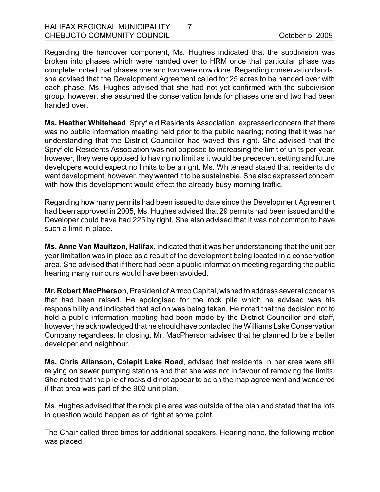Regarding the handover component, Ms. Hughes indicated that the subdivision was broken into phases which were handed over to HRM once that particular phase was complete; noted that phases one and two were now done. Regarding conservation lands, she advised that the Development Agreement called for 25 acres to be handed over with each phase. Ms. Hughes advised that she had not yet confirmed with the subdivision group, however, she assumed the conservation lands for phases one and two had been handed over.

7

**Ms. Heather Whitehead**, Spryfield Residents Association, expressed concern that there was no public information meeting held prior to the public hearing; noting that it was her understanding that the District Councillor had waved this right. She advised that the Spryfield Residents Association was not opposed to increasing the limit of units per year, however, they were opposed to having no limit as it would be precedent setting and future developers would expect no limits to be a right. Ms. Whitehead stated that residents did want development, however, they wanted it to be sustainable. She also expressed concern with how this development would effect the already busy morning traffic.

Regarding how many permits had been issued to date since the Development Agreement had been approved in 2005, Ms. Hughes advised that 29 permits had been issued and the Developer could have had 225 by right. She also advised that it was not common to have such a limit in place.

**Ms. Anne Van Maultzon, Halifax**, indicated that it was her understanding that the unit per year limitation was in place as a result of the development being located in a conservation area. She advised that if there had been a public information meeting regarding the public hearing many rumours would have been avoided.

**Mr. Robert MacPherson**, President of Armco Capital, wished to address several concerns that had been raised. He apologised for the rock pile which he advised was his responsibility and indicated that action was being taken. He noted that the decision not to hold a public information meeting had been made by the District Councillor and staff, however, he acknowledged that he should have contacted the Williams Lake Conservation Company regardless. In closing, Mr. MacPherson advised that he planned to be a better developer and neighbour.

**Ms. Chris Allanson, Colepit Lake Road**, advised that residents in her area were still relying on sewer pumping stations and that she was not in favour of removing the limits. She noted that the pile of rocks did not appear to be on the map agreement and wondered if that area was part of the 902 unit plan.

Ms. Hughes advised that the rock pile area was outside of the plan and stated that the lots in question would happen as of right at some point.

The Chair called three times for additional speakers. Hearing none, the following motion was placed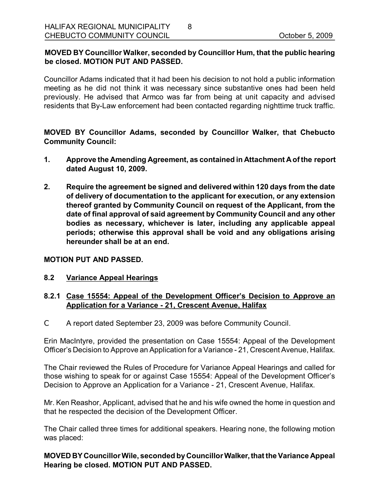## **MOVED BY Councillor Walker, seconded by Councillor Hum, that the public hearing be closed. MOTION PUT AND PASSED.**

8

Councillor Adams indicated that it had been his decision to not hold a public information meeting as he did not think it was necessary since substantive ones had been held previously. He advised that Armco was far from being at unit capacity and advised residents that By-Law enforcement had been contacted regarding nighttime truck traffic.

**MOVED BY Councillor Adams, seconded by Councillor Walker, that Chebucto Community Council:**

- **1. Approve the Amending Agreement, as contained in Attachment Aof the report dated August 10, 2009.**
- **2. Require the agreement be signed and delivered within 120 days from the date of delivery of documentation to the applicant for execution, or any extension thereof granted by Community Council on request of the Applicant, from the date of final approval of said agreement by Community Council and any other bodies as necessary, whichever is later, including any applicable appeal periods; otherwise this approval shall be void and any obligations arising hereunder shall be at an end.**

### **MOTION PUT AND PASSED.**

### **8.2 Variance Appeal Hearings**

### **8.2.1 Case 15554: Appeal of the Development Officer's Decision to Approve an Application for a Variance 21, Crescent Avenue, Halifax**

C A report dated September 23, 2009 was before Community Council.

Erin MacIntyre, provided the presentation on Case 15554: Appeal of the Development Officer's Decision to Approve an Application for a Variance 21, Crescent Avenue, Halifax.

The Chair reviewed the Rules of Procedure for Variance Appeal Hearings and called for those wishing to speak for or against Case 15554: Appeal of the Development Officer's Decision to Approve an Application for a Variance - 21, Crescent Avenue, Halifax.

Mr. Ken Reashor, Applicant, advised that he and his wife owned the home in question and that he respected the decision of the Development Officer.

The Chair called three times for additional speakers. Hearing none, the following motion was placed:

**MOVED BY CouncillorWile, seconded byCouncillorWalker,that the Variance Appeal Hearing be closed. MOTION PUT AND PASSED.**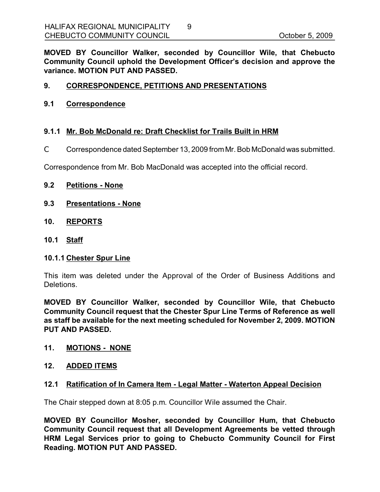**MOVED BY Councillor Walker, seconded by Councillor Wile, that Chebucto Community Council uphold the Development Officer's decision and approve the variance. MOTION PUT AND PASSED.** 

### **9. CORRESPONDENCE, PETITIONS AND PRESENTATIONS**

#### **9.1 Correspondence**

### **9.1.1 Mr. Bob McDonald re: Draft Checklist for Trails Built in HRM**

C Correspondence dated September 13, 2009 fromMr. Bob McDonald was submitted.

Correspondence from Mr. Bob MacDonald was accepted into the official record.

#### **9.2 Petitions None**

- **9.3 Presentations None**
- **10. REPORTS**
- **10.1 Staff**

### **10.1.1 Chester Spur Line**

This item was deleted under the Approval of the Order of Business Additions and Deletions.

**MOVED BY Councillor Walker, seconded by Councillor Wile, that Chebucto Community Council request that the Chester Spur Line Terms of Reference as well as staff be available for the next meeting scheduled for November 2, 2009. MOTION PUT AND PASSED.** 

### **11. MOTIONS NONE**

#### **12. ADDED ITEMS**

### **12.1 Ratification of In Camera Item Legal Matter Waterton Appeal Decision**

The Chair stepped down at 8:05 p.m. Councillor Wile assumed the Chair.

**MOVED BY Councillor Mosher, seconded by Councillor Hum, that Chebucto Community Council request that all Development Agreements be vetted through HRM Legal Services prior to going to Chebucto Community Council for First Reading. MOTION PUT AND PASSED.**